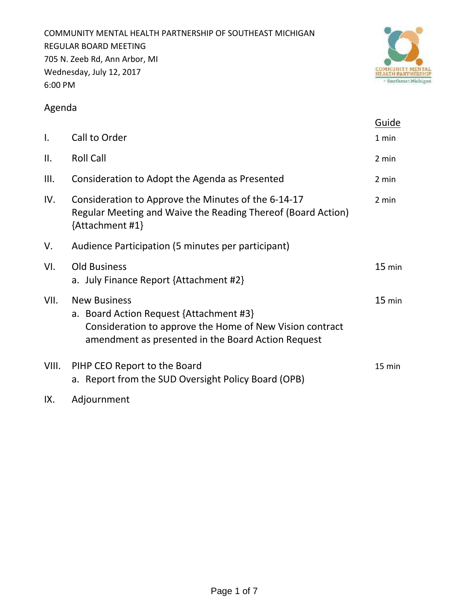COMMUNITY MENTAL HEALTH PARTNERSHIP OF SOUTHEAST MICHIGAN REGULAR BOARD MEETING 705 N. Zeeb Rd, Ann Arbor, MI Wednesday, July 12, 2017 6:00 PM



# Agenda

|                |                                                                                                                                                                                  | Guide  |
|----------------|----------------------------------------------------------------------------------------------------------------------------------------------------------------------------------|--------|
| $\mathbf{I}$ . | Call to Order                                                                                                                                                                    | 1 min  |
| II.            | <b>Roll Call</b>                                                                                                                                                                 | 2 min  |
| III.           | Consideration to Adopt the Agenda as Presented                                                                                                                                   | 2 min  |
| IV.            | Consideration to Approve the Minutes of the 6-14-17<br>Regular Meeting and Waive the Reading Thereof (Board Action)<br>{Attachment #1}                                           | 2 min  |
| V.             | Audience Participation (5 minutes per participant)                                                                                                                               |        |
| VI.            | <b>Old Business</b><br>a. July Finance Report {Attachment #2}                                                                                                                    | 15 min |
| VII.           | <b>New Business</b><br>a. Board Action Request {Attachment #3}<br>Consideration to approve the Home of New Vision contract<br>amendment as presented in the Board Action Request | 15 min |
| VIII.          | PIHP CEO Report to the Board<br>a. Report from the SUD Oversight Policy Board (OPB)                                                                                              | 15 min |
| IX.            | Adjournment                                                                                                                                                                      |        |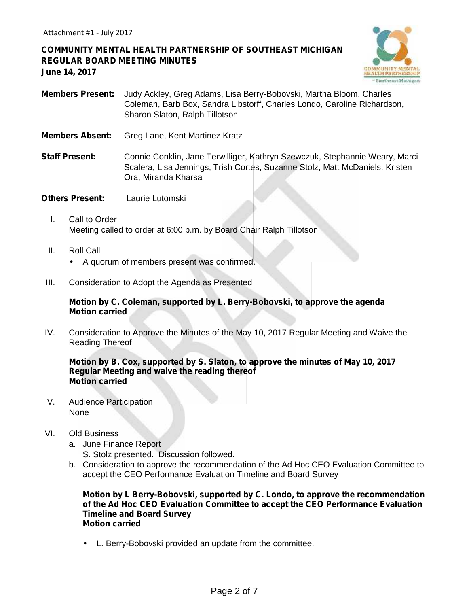**COMMUNITY MENTAL HEALTH PARTNERSHIP OF SOUTHEAST MICHIGAN REGULAR BOARD MEETING MINUTES June 14, 2017**



- **Members Present:** Judy Ackley, Greg Adams, Lisa Berry-Bobovski, Martha Bloom, Charles Coleman, Barb Box, Sandra Libstorff, Charles Londo, Caroline Richardson, Sharon Slaton, Ralph Tillotson
- **Members Absent:** Greg Lane, Kent Martinez Kratz
- **Staff Present:** Connie Conklin, Jane Terwilliger, Kathryn Szewczuk, Stephannie Weary, Marci Scalera, Lisa Jennings, Trish Cortes, Suzanne Stolz, Matt McDaniels, Kristen Ora, Miranda Kharsa
- **Others Present:** Laurie Lutomski
	- I. Call to Order Meeting called to order at 6:00 p.m. by Board Chair Ralph Tillotson
	- II. Roll Call A quorum of members present was confirmed.
- III. Consideration to Adopt the Agenda as Presented

#### **Motion by C. Coleman, supported by L. Berry-Bobovski, to approve the agenda Motion carried**

IV. Consideration to Approve the Minutes of the May 10, 2017 Regular Meeting and Waive the Reading Thereof

#### **Motion by B. Cox, supported by S. Slaton, to approve the minutes of May 10, 2017 Regular Meeting and waive the reading thereof Motion carried**

- V. Audience Participation None
- VI. Old Business
	- a. June Finance Report
		- S. Stolz presented. Discussion followed.
	- b. Consideration to approve the recommendation of the Ad Hoc CEO Evaluation Committee to accept the CEO Performance Evaluation Timeline and Board Survey

#### **Motion by L Berry-Bobovski, supported by C. Londo, to approve the recommendation of the Ad Hoc CEO Evaluation Committee to accept the CEO Performance Evaluation Timeline and Board Survey Motion carried**

L. Berry-Bobovski provided an update from the committee.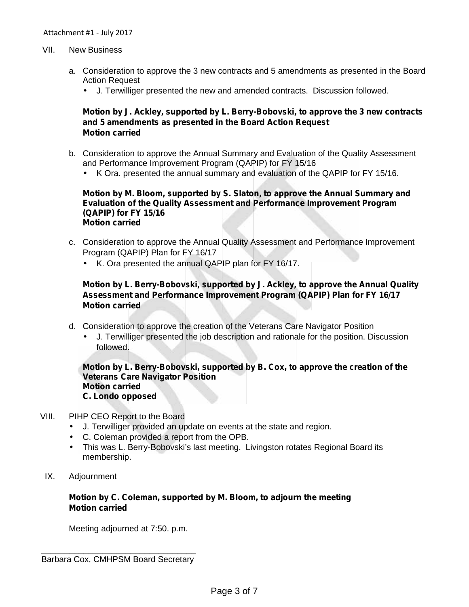- VII. New Business
	- a. Consideration to approve the 3 new contracts and 5 amendments as presented in the Board Action Request
		- J. Terwilliger presented the new and amended contracts. Discussion followed.

### **Motion by J. Ackley, supported by L. Berry-Bobovski, to approve the 3 new contracts and 5 amendments as presented in the Board Action Request Motion carried**

- b. Consideration to approve the Annual Summary and Evaluation of the Quality Assessment and Performance Improvement Program (QAPIP) for FY 15/16
	- K Ora. presented the annual summary and evaluation of the QAPIP for FY 15/16.

#### **Motion by M. Bloom, supported by S. Slaton, to approve the Annual Summary and Evaluation of the Quality Assessment and Performance Improvement Program (QAPIP) for FY 15/16 Motion carried**

- c. Consideration to approve the Annual Quality Assessment and Performance Improvement Program (QAPIP) Plan for FY 16/17
	- K. Ora presented the annual QAPIP plan for FY 16/17.

#### **Motion by L. Berry-Bobovski, supported by J. Ackley, to approve the Annual Quality Assessment and Performance Improvement Program (QAPIP) Plan for FY 16/17 Motion carried**

- d. Consideration to approve the creation of the Veterans Care Navigator Position
	- J. Terwilliger presented the job description and rationale for the position. Discussion followed.

**Motion by L. Berry-Bobovski, supported by B. Cox, to approve the creation of the Veterans Care Navigator Position Motion carried C. Londo opposed**

- VIII. PIHP CEO Report to the Board
	- J. Terwilliger provided an update on events at the state and region.
	- C. Coleman provided a report from the OPB.

 This was L. Berry-Bobovski's last meeting. Livingston rotates Regional Board its membership.

IX. Adjournment

#### **Motion by C. Coleman, supported by M. Bloom, to adjourn the meeting Motion carried**

Meeting adjourned at 7:50. p.m.

\_\_\_\_\_\_\_\_\_\_\_\_\_\_\_\_\_\_\_\_\_\_\_\_\_\_\_\_\_\_\_\_\_ Barbara Cox, CMHPSM Board Secretary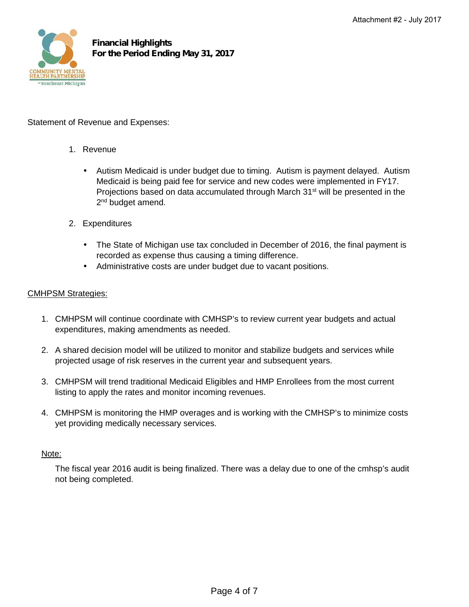

### Statement of Revenue and Expenses:

- 1. Revenue
	- Autism Medicaid is under budget due to timing. Autism is payment delayed. Autism Medicaid is being paid fee for service and new codes were implemented in FY17. Projections based on data accumulated through March  $31<sup>st</sup>$  will be presented in the 2<sup>nd</sup> budget amend.
- 2. Expenditures
	- The State of Michigan use tax concluded in December of 2016, the final payment is recorded as expense thus causing a timing difference.
	- Administrative costs are under budget due to vacant positions.

### CMHPSM Strategies:

- 1. CMHPSM will continue coordinate with CMHSP's to review current year budgets and actual expenditures, making amendments as needed.
- 2. A shared decision model will be utilized to monitor and stabilize budgets and services while projected usage of risk reserves in the current year and subsequent years.
- 3. CMHPSM will trend traditional Medicaid Eligibles and HMP Enrollees from the most current listing to apply the rates and monitor incoming revenues.
- 4. CMHPSM is monitoring the HMP overages and is working with the CMHSP's to minimize costs yet providing medically necessary services.

#### Note:

The fiscal year 2016 audit is being finalized. There was a delay due to one of the cmhsp's audit not being completed.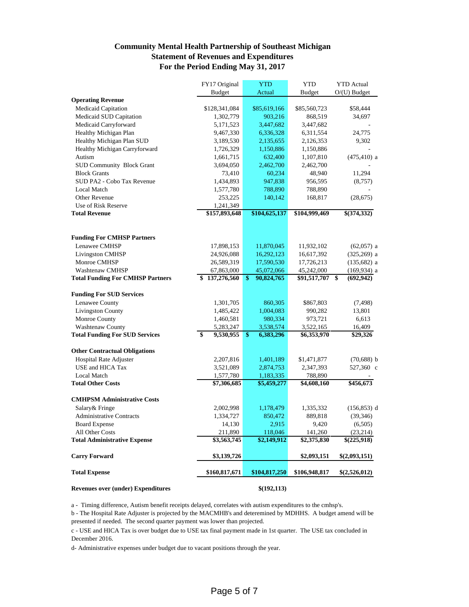#### **Community Mental Health Partnership of Southeast Michigan Statement of Revenues and Expenditures For the Period Ending May 31, 2017**

|                                         | FY17 Original    | <b>YTD</b>       | <b>YTD</b>    | <b>YTD</b> Actual |
|-----------------------------------------|------------------|------------------|---------------|-------------------|
|                                         | <b>Budget</b>    | Actual           | <b>Budget</b> | $O/(U)$ Budget    |
| <b>Operating Revenue</b>                |                  |                  |               |                   |
| Medicaid Capitation                     | \$128,341,084    | \$85,619,166     | \$85,560,723  | \$58,444          |
| Medicaid SUD Capitation                 | 1,302,779        | 903,216          | 868,519       | 34,697            |
| Medicaid Carryforward                   | 5,171,523        | 3,447,682        | 3,447,682     |                   |
| Healthy Michigan Plan                   | 9,467,330        | 6,336,328        | 6,311,554     | 24,775            |
| Healthy Michigan Plan SUD               | 3,189,530        | 2,135,655        | 2,126,353     | 9,302             |
| Healthy Michigan Carryforward           | 1,726,329        | 1,150,886        | 1,150,886     |                   |
| Autism                                  | 1,661,715        | 632,400          | 1,107,810     | $(475, 410)$ a    |
| <b>SUD Community Block Grant</b>        | 3,694,050        | 2,462,700        | 2,462,700     |                   |
| <b>Block Grants</b>                     | 73,410           | 60,234           | 48,940        | 11,294            |
| SUD PA2 - Cobo Tax Revenue              | 1,434,893        | 947,838          | 956,595       | (8,757)           |
| <b>Local Match</b>                      | 1,577,780        | 788,890          | 788,890       |                   |
| Other Revenue                           | 253,225          | 140,142          | 168,817       | (28, 675)         |
| Use of Risk Reserve                     | 1,241,349        |                  |               |                   |
| <b>Total Revenue</b>                    | \$157,893,648    | \$104,625,137    | \$104,999,469 | \$(374,332)       |
|                                         |                  |                  |               |                   |
| <b>Funding For CMHSP Partners</b>       |                  |                  |               |                   |
| Lenawee CMHSP                           | 17,898,153       | 11,870,045       | 11,932,102    | $(62,057)$ a      |
| <b>Livingston CMHSP</b>                 | 24,926,088       | 16,292,123       | 16,617,392    | $(325,269)$ a     |
| Monroe CMHSP                            | 26,589,319       | 17,590,530       | 17,726,213    | $(135,682)$ a     |
| Washtenaw CMHSP                         | 67,863,000       | 45,072,066       | 45,242,000    | $(169, 934)$ a    |
| <b>Total Funding For CMHSP Partners</b> | 137,276,560<br>S | \$<br>90,824,765 | \$91,517,707  | \$<br>(692, 942)  |
| <b>Funding For SUD Services</b>         |                  |                  |               |                   |
| Lenawee County                          | 1,301,705        | 860,305          | \$867,803     | (7, 498)          |
| <b>Livingston County</b>                | 1,485,422        | 1,004,083        | 990,282       | 13,801            |
| Monroe County                           | 1,460,581        | 980,334          | 973,721       | 6,613             |
| Washtenaw County                        | 5,283,247        | 3,538,574        | 3,522,165     | 16,409            |
| <b>Total Funding For SUD Services</b>   | \$<br>9,530,955  | \$<br>6,383,296  | \$6,353,970   | \$29,326          |
|                                         |                  |                  |               |                   |
| <b>Other Contractual Obligations</b>    |                  |                  |               |                   |
| Hospital Rate Adjuster                  | 2,207,816        | 1,401,189        | \$1,471,877   | $(70,688)$ b      |
| USE and HICA Tax                        | 3,521,089        | 2,874,753        | 2,347,393     | 527,360 c         |
| <b>Local Match</b>                      | 1,577,780        | 1,183,335        | 788,890       |                   |
| <b>Total Other Costs</b>                | \$7,306,685      | \$5,459,277      | \$4,608,160   | \$456,673         |
| <b>CMHPSM Administrative Costs</b>      |                  |                  |               |                   |
| Salary & Fringe                         | 2,002,998        | 1,178,479        | 1,335,332     | $(156, 853)$ d    |
| <b>Administrative Contracts</b>         | 1,334,727        | 850,472          | 889,818       | (39, 346)         |
| <b>Board Expense</b>                    | 14,130           | 2,915            | 9,420         | (6,505)           |
| All Other Costs                         | 211,890          | 118,046          | 141,260       | (23,214)          |
| <b>Total Administrative Expense</b>     | \$3,563,745      | \$2,149,912      | \$2,375,830   | \$(225,918)       |
|                                         |                  |                  |               |                   |
| <b>Carry Forward</b>                    | \$3,139,726      |                  | \$2,093,151   | \$(2,093,151)     |
| <b>Total Expense</b>                    | \$160,817,671    | \$104,817,250    | \$106,948,817 | \$(2,526,012)     |
|                                         |                  |                  |               |                   |
|                                         |                  |                  |               |                   |

**Revenues over (under) Expenditures \$(192,113)**

a - Timing difference, Autism benefit receipts delayed, correlates with autism expenditures to the cmhsp's.

b - The Hospital Rate Adjuster is projected by the MACMHB's and deteremined by MDHHS. A budget amend will be presented if needed. The second quarter payment was lower than projected.

c - USE and HICA Tax is over budget due to USE tax final payment made in 1st quarter. The USE tax concluded in December 2016.

d- Administrative expenses under budget due to vacant positions through the year.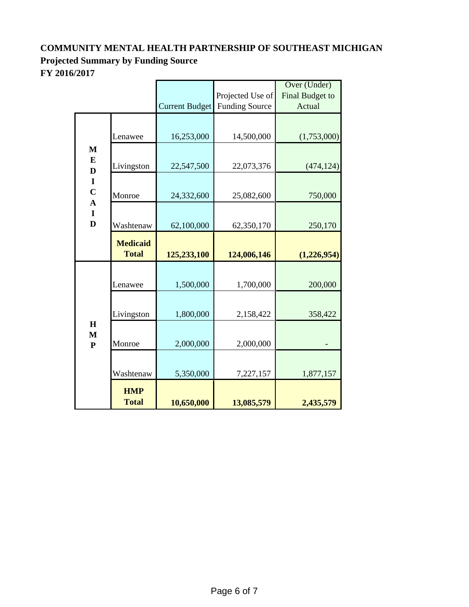## **COMMUNITY MENTAL HEALTH PARTNERSHIP OF SOUTHEAST MICHIGAN Projected Summary by Funding Source FY 2016/2017**

|                                            |                                 |                       |                       | Over (Under)    |
|--------------------------------------------|---------------------------------|-----------------------|-----------------------|-----------------|
|                                            |                                 |                       | Projected Use of      | Final Budget to |
|                                            |                                 | <b>Current Budget</b> | <b>Funding Source</b> | Actual          |
|                                            | Lenawee                         | 16,253,000            | 14,500,000            | (1,753,000)     |
| $\mathbf{M}$<br>E<br>$\mathbf{D}$          | Livingston                      | 22,547,500            | 22,073,376            | (474, 124)      |
| $\mathbf I$<br>$\mathbf C$<br>$\mathbf{A}$ | Monroe                          | 24,332,600            | 25,082,600            | 750,000         |
| $\mathbf I$<br>$\mathbf D$                 | Washtenaw                       | 62,100,000            | 62,350,170            | 250,170         |
|                                            | <b>Medicaid</b><br><b>Total</b> | 125,233,100           | 124,006,146           | (1,226,954)     |
|                                            | Lenawee                         | 1,500,000             | 1,700,000             | 200,000         |
|                                            | Livingston                      | 1,800,000             | 2,158,422             | 358,422         |
| $\mathbf H$<br>M<br>${\bf P}$              | Monroe                          | 2,000,000             | 2,000,000             |                 |
|                                            | Washtenaw                       | 5,350,000             | 7,227,157             | 1,877,157       |
|                                            | <b>HMP</b><br><b>Total</b>      | 10,650,000            | 13,085,579            | 2,435,579       |